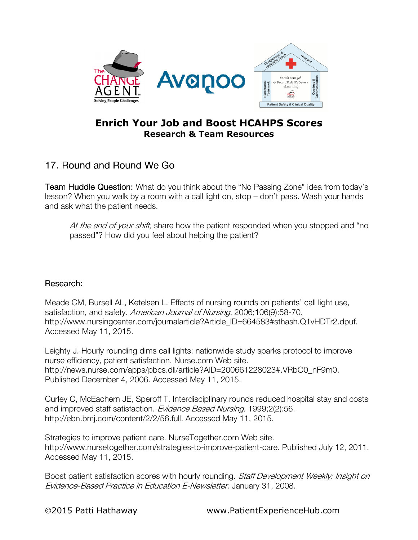

## Enrich Your Job and Boost HCAHPS Scores Research & Team Resources

## 17. Round and Round We Go

**Team Huddle Question:** What do you think about the "No Passing Zone" idea from today's lesson? When you walk by a room with a call light on, stop – don't pass. Wash your hands and ask what the patient needs.

At the end of your shift, share how the patient responded when you stopped and "no passed"? How did you feel about helping the patient?

## Research: Research:

Meade CM, Bursell AL, Ketelsen L. Effects of nursing rounds on patients' call light use, satisfaction, and safety. American Journal of Nursing. 2006;106(9):58-70. http://www.nursingcenter.com/journalarticle?Article ID=664583#sthash.Q1vHDTr2.dpuf. Accessed May 11, 2015.

Leighty J. Hourly rounding dims call lights: nationwide study sparks protocol to improve nurse efficiency, patient satisfaction. Nurse.com Web site. http://news.nurse.com/apps/pbcs.dll/article?AID=200661228023#.VRbO0\_nF9m0. Published December 4, 2006. Accessed May 11, 2015.

Curley C, McEachern JE, Speroff T. Interdisciplinary rounds reduced hospital stay and costs and improved staff satisfaction. Evidence Based Nursing. 1999;2(2):56. http://ebn.bmj.com/content/2/2/56.full. Accessed May 11, 2015.

Strategies to improve patient care. NurseTogether.com Web site. http://www.nursetogether.com/strategies-to-improve-patient-care. Published July 12, 2011. Accessed May 11, 2015.

Boost patient satisfaction scores with hourly rounding. Staff Development Weekly: Insight on Evidence-Based Practice in Education E-Newsletter. January 31, 2008.